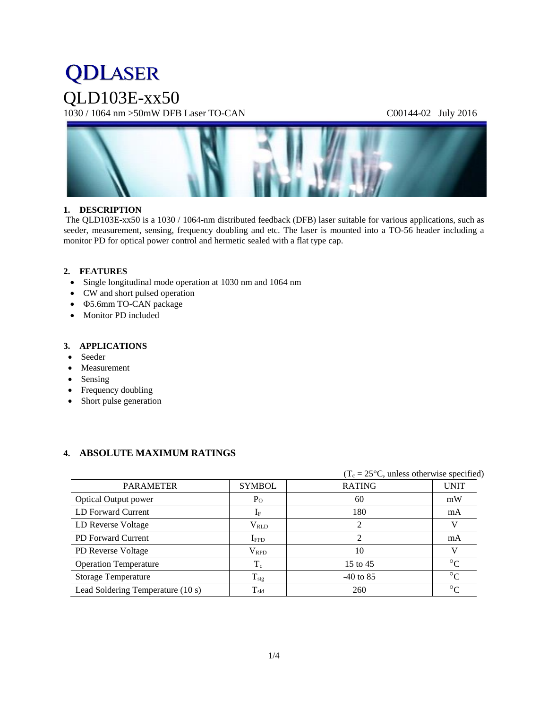# **QDLASER** QLD103E-xx50

1030 / 1064 nm >50mW DFB Laser TO-CAN C00144-02 July 2016



# **1. DESCRIPTION**

The QLD103E-xx50 is a 1030 / 1064-nm distributed feedback (DFB) laser suitable for various applications, such as seeder, measurement, sensing, frequency doubling and etc. The laser is mounted into a TO-56 header including a monitor PD for optical power control and hermetic sealed with a flat type cap.

# **2. FEATURES**

- Single longitudinal mode operation at 1030 nm and 1064 nm
- CW and short pulsed operation
- 5.6mm TO-CAN package
- Monitor PD included

## **3. APPLICATIONS**

- Seeder
- Measurement
- Sensing
- Frequency doubling
- Short pulse generation

# **4. ABSOLUTE MAXIMUM RATINGS**

|                                   |                  |               | $(T_c = 25^{\circ}C$ , unless otherwise specified) |  |  |
|-----------------------------------|------------------|---------------|----------------------------------------------------|--|--|
| <b>PARAMETER</b>                  | <b>SYMBOL</b>    | <b>RATING</b> | <b>UNIT</b>                                        |  |  |
| <b>Optical Output power</b>       | $P_{O}$          | 60            | mW                                                 |  |  |
| LD Forward Current                | $1_{\rm F}$      | 180           | mA                                                 |  |  |
| LD Reverse Voltage                | $\rm V_{RLD}$    |               | v                                                  |  |  |
| <b>PD</b> Forward Current         | $I_{\text{FPD}}$ |               | mA                                                 |  |  |
| PD Reverse Voltage                | $\rm V_{RPD}$    | 10            |                                                    |  |  |
| <b>Operation Temperature</b>      | $T_c$            | 15 to 45      | $\rm ^{\circ}C$                                    |  |  |
| <b>Storage Temperature</b>        | $T_{\rm stg}$    | $-40$ to 85   | $\rm ^{\circ}C$                                    |  |  |
| Lead Soldering Temperature (10 s) | $T_{\rm sld}$    | 260           | $\circ$                                            |  |  |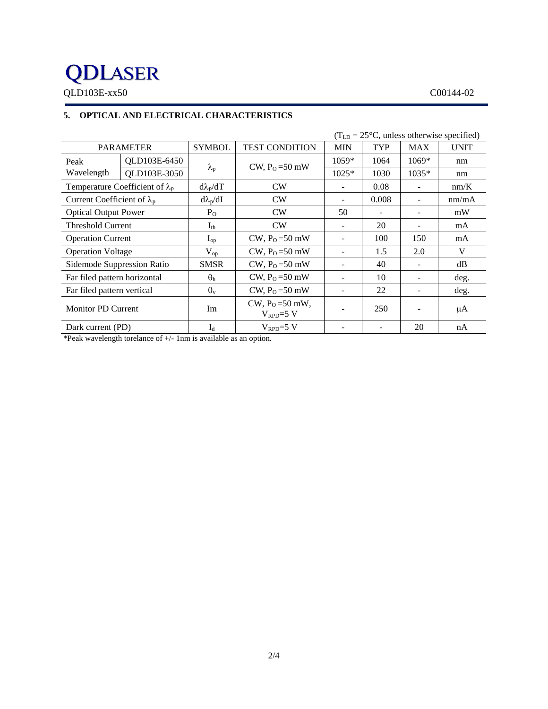# **QDLASER**

QLD103E-xx50 C00144-02

# **5. OPTICAL AND ELECTRICAL CHARACTERISTICS**

|                                        | $(TLD = 25oC, unless otherwise specified)$ |                   |                                     |                          |       |                          |             |
|----------------------------------------|--------------------------------------------|-------------------|-------------------------------------|--------------------------|-------|--------------------------|-------------|
| <b>PARAMETER</b>                       |                                            | <b>SYMBOL</b>     | <b>TEST CONDITION</b>               | <b>MIN</b>               | TYP   | <b>MAX</b>               | <b>UNIT</b> |
| Peak                                   | QLD103E-6450                               |                   | CW, $P_0 = 50$ mW                   | $1059*$                  | 1064  | $1069*$                  | nm          |
| Wavelength                             | QLD103E-3050                               | $\lambda_{\rm p}$ |                                     | $1025*$                  | 1030  | 1035*                    | nm          |
| Temperature Coefficient of $\lambda_p$ |                                            | $d\lambda_p/dT$   | CW                                  | $\overline{\phantom{0}}$ | 0.08  |                          | nm/K        |
| Current Coefficient of $\lambda_p$     |                                            | $d\lambda_p/dI$   | CW                                  |                          | 0.008 |                          | nm/mA       |
| <b>Optical Output Power</b>            |                                            | $P_{O}$           | CW                                  | 50                       |       |                          | mW          |
| <b>Threshold Current</b>               |                                            | $I_{th}$          | CW                                  | $\overline{\phantom{0}}$ | 20    | $\overline{\phantom{a}}$ | mA          |
| <b>Operation Current</b>               |                                            | $I_{op}$          | $CW$ , $P_0 = 50$ mW                | ۰                        | 100   | 150                      | mA          |
| <b>Operation Voltage</b>               |                                            | $V_{op}$          | CW, $P_0 = 50$ mW                   | $\qquad \qquad -$        | 1.5   | 2.0                      | V           |
| Sidemode Suppression Ratio             |                                            | <b>SMSR</b>       | CW, $P_0 = 50$ mW                   |                          | 40    |                          | dB          |
| Far filed pattern horizontal           |                                            | $\theta_{\rm h}$  | CW, $P_0 = 50$ mW                   |                          | 10    |                          | deg.        |
| Far filed pattern vertical             |                                            | $\theta_{\rm v}$  | CW, $P_0 = 50$ mW                   | $\overline{\phantom{0}}$ | 22    |                          | deg.        |
| <b>Monitor PD Current</b>              |                                            | Im                | $CW, P_0 = 50$ mW,<br>$V_{RPD}=5$ V |                          | 250   |                          | μA          |
| Dark current (PD)                      |                                            | $I_d$             | $V_{\text{RPD}}=5$ V                |                          |       | 20                       | nA          |

\*Peak wavelength torelance of +/- 1nm is available as an option.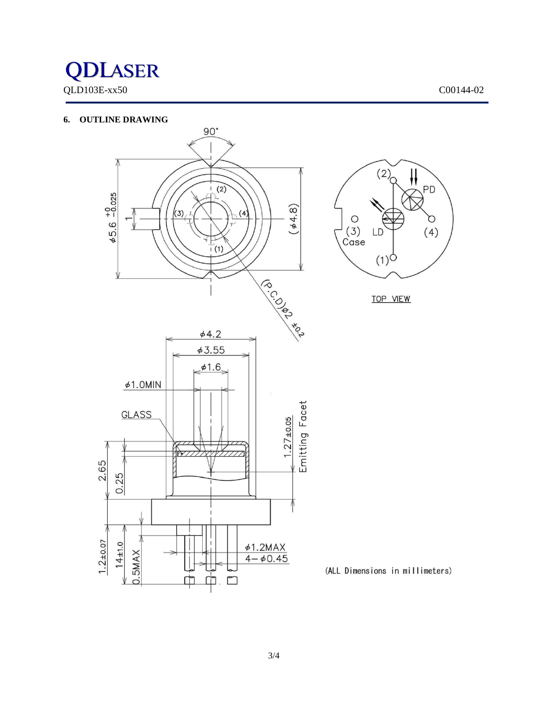# **QDLASER** QLD103E-xx50 C00144-02